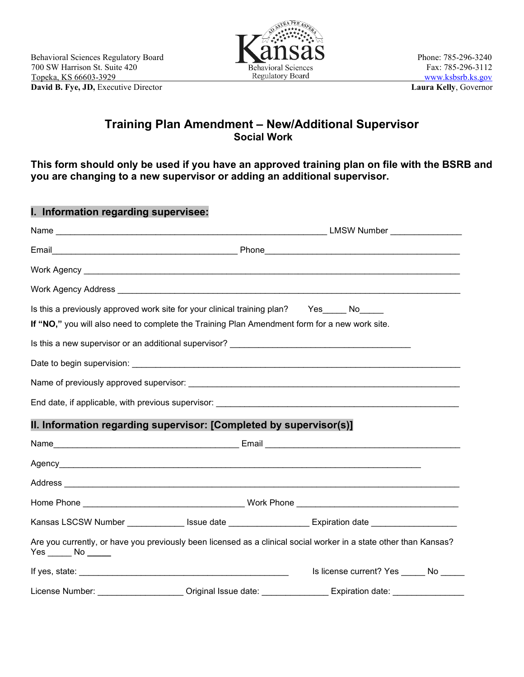

## **Training Plan Amendment – New/Additional Supervisor Social Work**

**This form should only be used if you have an approved training plan on file with the BSRB and you are changing to a new supervisor or adding an additional supervisor.**

| I. Information regarding supervisee: |                                                                                                                                                                                  |                                                                                                                   |  |  |
|--------------------------------------|----------------------------------------------------------------------------------------------------------------------------------------------------------------------------------|-------------------------------------------------------------------------------------------------------------------|--|--|
|                                      |                                                                                                                                                                                  |                                                                                                                   |  |  |
|                                      |                                                                                                                                                                                  |                                                                                                                   |  |  |
|                                      |                                                                                                                                                                                  |                                                                                                                   |  |  |
|                                      |                                                                                                                                                                                  |                                                                                                                   |  |  |
|                                      | Is this a previously approved work site for your clinical training plan? Yes No<br>If "NO," you will also need to complete the Training Plan Amendment form for a new work site. |                                                                                                                   |  |  |
|                                      |                                                                                                                                                                                  |                                                                                                                   |  |  |
|                                      |                                                                                                                                                                                  |                                                                                                                   |  |  |
|                                      |                                                                                                                                                                                  |                                                                                                                   |  |  |
|                                      |                                                                                                                                                                                  |                                                                                                                   |  |  |
|                                      | II. Information regarding supervisor: [Completed by supervisor(s)]                                                                                                               |                                                                                                                   |  |  |
|                                      |                                                                                                                                                                                  |                                                                                                                   |  |  |
|                                      |                                                                                                                                                                                  |                                                                                                                   |  |  |
|                                      |                                                                                                                                                                                  |                                                                                                                   |  |  |
|                                      |                                                                                                                                                                                  |                                                                                                                   |  |  |
|                                      |                                                                                                                                                                                  | Kansas LSCSW Number _____________ Issue date ___________________ Expiration date __________________               |  |  |
| $Yes \_\_No \_\_$                    |                                                                                                                                                                                  | Are you currently, or have you previously been licensed as a clinical social worker in a state other than Kansas? |  |  |
|                                      |                                                                                                                                                                                  | Is license current? Yes ______ No _____                                                                           |  |  |
|                                      |                                                                                                                                                                                  | License Number: _____________________ Original Issue date: _______________ Expiration date: _________________     |  |  |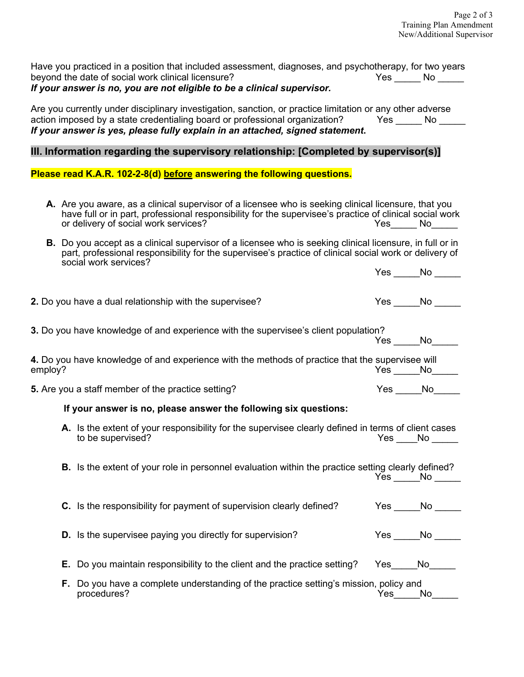|         | Have you practiced in a position that included assessment, diagnoses, and psychotherapy, for two years<br>beyond the date of social work clinical licensure?<br>If your answer is no, you are not eligible to be a clinical supervisor.                                                        |     | $Yes$ No $\rule{1em}{0.15mm}$ No $\rule{1.5mm}{0.15mm}$ |
|---------|------------------------------------------------------------------------------------------------------------------------------------------------------------------------------------------------------------------------------------------------------------------------------------------------|-----|---------------------------------------------------------|
|         | Are you currently under disciplinary investigation, sanction, or practice limitation or any other adverse<br>action imposed by a state credentialing board or professional organization? Thes Testa London No<br>If your answer is yes, please fully explain in an attached, signed statement. |     |                                                         |
|         | III. Information regarding the supervisory relationship: [Completed by supervisor(s)]                                                                                                                                                                                                          |     |                                                         |
|         | Please read K.A.R. 102-2-8(d) before answering the following questions.                                                                                                                                                                                                                        |     |                                                         |
|         | A. Are you aware, as a clinical supervisor of a licensee who is seeking clinical licensure, that you<br>have full or in part, professional responsibility for the supervisee's practice of clinical social work<br>or delivery of social work services?                                        |     | Yes No No                                               |
|         | <b>B.</b> Do you accept as a clinical supervisor of a licensee who is seeking clinical licensure, in full or in<br>part, professional responsibility for the supervisee's practice of clinical social work or delivery of<br>social work services?                                             |     |                                                         |
|         |                                                                                                                                                                                                                                                                                                |     | $Yes$ No $\_\_$                                         |
|         | 2. Do you have a dual relationship with the supervisee?                                                                                                                                                                                                                                        |     | $Yes \qquad No \qquad$                                  |
|         | 3. Do you have knowledge of and experience with the supervisee's client population?                                                                                                                                                                                                            |     | $Yes$ No                                                |
| employ? | 4. Do you have knowledge of and experience with the methods of practice that the supervisee will                                                                                                                                                                                               |     | $Yes$ $No$ $\qquad$                                     |
|         | 5. Are you a staff member of the practice setting?                                                                                                                                                                                                                                             |     | $Yes \_\_No \_\_$                                       |
|         | If your answer is no, please answer the following six questions:                                                                                                                                                                                                                               |     |                                                         |
|         | A. Is the extent of your responsibility for the supervisee clearly defined in terms of client cases<br>to be supervised?                                                                                                                                                                       |     | $Yes$ No $\_\_$                                         |
|         | B. Is the extent of your role in personnel evaluation within the practice setting clearly defined?                                                                                                                                                                                             |     | Yes No                                                  |
|         | C. Is the responsibility for payment of supervision clearly defined?                                                                                                                                                                                                                           |     | Yes No                                                  |
|         | D. Is the supervisee paying you directly for supervision?                                                                                                                                                                                                                                      |     | Yes No                                                  |
|         | <b>E.</b> Do you maintain responsibility to the client and the practice setting?                                                                                                                                                                                                               |     | Yes No                                                  |
|         | F. Do you have a complete understanding of the practice setting's mission, policy and<br>procedures?                                                                                                                                                                                           | Yes | No                                                      |